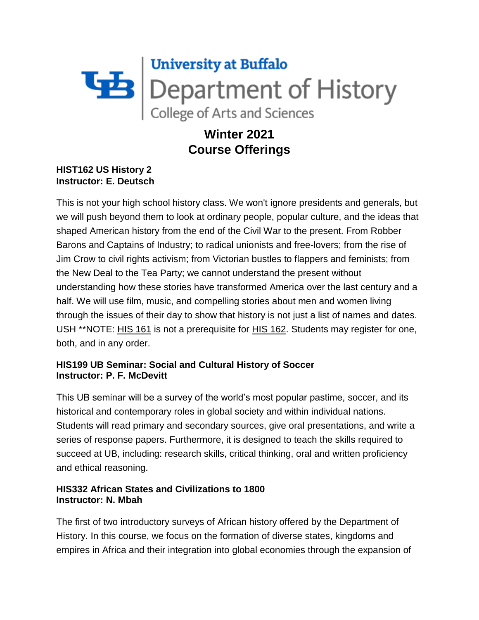# University at Buffalo<br>Department of History<br>College of Arts and Sciences

# **Winter 2021 Course Offerings**

### **HIST162 US History 2 Instructor: E. Deutsch**

This is not your high school history class. We won't ignore presidents and generals, but we will push beyond them to look at ordinary people, popular culture, and the ideas that shaped American history from the end of the Civil War to the present. From Robber Barons and Captains of Industry; to radical unionists and free-lovers; from the rise of Jim Crow to civil rights activism; from Victorian bustles to flappers and feminists; from the New Deal to the Tea Party; we cannot understand the present without understanding how these stories have transformed America over the last century and a half. We will use film, music, and compelling stories about men and women living through the issues of their day to show that history is not just a list of names and dates. USH \*\*NOTE: HIS [161](https://catalog.buffalo.edu/courses/?abbr=HIS&num=161) is not a prerequisite for HIS [162.](https://catalog.buffalo.edu/courses/?abbr=HIS&num=162) Students may register for one, both, and in any order.

## **HIS199 UB Seminar: Social and Cultural History of Soccer Instructor: P. F. McDevitt**

This UB seminar will be a survey of the world's most popular pastime, soccer, and its historical and contemporary roles in global society and within individual nations. Students will read primary and secondary sources, give oral presentations, and write a series of response papers. Furthermore, it is designed to teach the skills required to succeed at UB, including: research skills, critical thinking, oral and written proficiency and ethical reasoning.

### **HIS332 African States and Civilizations to 1800 Instructor: N. Mbah**

The first of two introductory surveys of African history offered by the Department of History. In this course, we focus on the formation of diverse states, kingdoms and empires in Africa and their integration into global economies through the expansion of